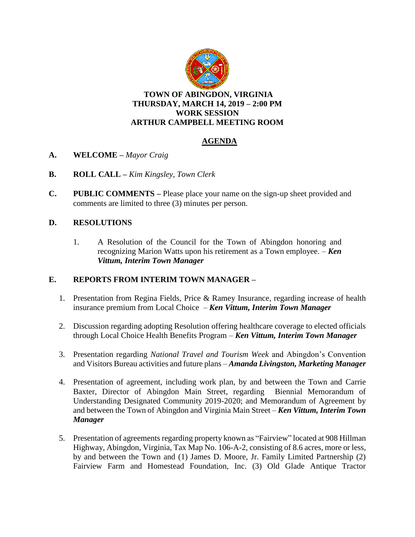

**TOWN OF ABINGDON, VIRGINIA THURSDAY, MARCH 14, 2019 – 2:00 PM WORK SESSION ARTHUR CAMPBELL MEETING ROOM**

# **AGENDA**

- **A. WELCOME –** *Mayor Craig*
- **B. ROLL CALL –** *Kim Kingsley, Town Clerk*
- **C. PUBLIC COMMENTS –** Please place your name on the sign-up sheet provided and comments are limited to three (3) minutes per person.

## **D. RESOLUTIONS**

1. A Resolution of the Council for the Town of Abingdon honoring and recognizing Marion Watts upon his retirement as a Town employee. – *Ken Vittum, Interim Town Manager*

### **E. REPORTS FROM INTERIM TOWN MANAGER –**

- 1. Presentation from Regina Fields, Price & Ramey Insurance, regarding increase of health insurance premium from Local Choice – *Ken Vittum, Interim Town Manager*
- 2. Discussion regarding adopting Resolution offering healthcare coverage to elected officials through Local Choice Health Benefits Program – *Ken Vittum, Interim Town Manager*
- 3. Presentation regarding *National Travel and Tourism Week* and Abingdon's Convention and Visitors Bureau activities and future plans – *Amanda Livingston, Marketing Manager*
- 4. Presentation of agreement, including work plan, by and between the Town and Carrie Baxter, Director of Abingdon Main Street, regarding Biennial Memorandum of Understanding Designated Community 2019-2020; and Memorandum of Agreement by and between the Town of Abingdon and Virginia Main Street – *Ken Vittum, Interim Town Manager*
- 5. Presentation of agreements regarding property known as "Fairview" located at 908 Hillman Highway, Abingdon, Virginia, Tax Map No. 106-A-2, consisting of 8.6 acres, more or less, by and between the Town and (1) James D. Moore, Jr. Family Limited Partnership (2) Fairview Farm and Homestead Foundation, Inc. (3) Old Glade Antique Tractor